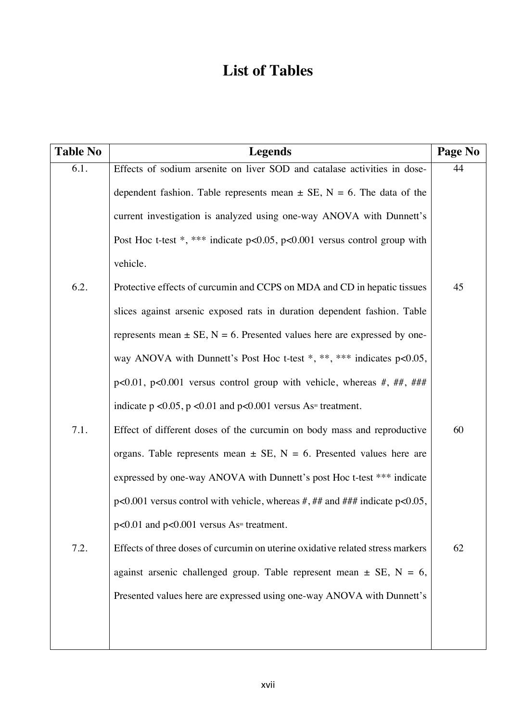## **List of Tables**

| <b>Table No</b> | <b>Legends</b>                                                                     | Page No |
|-----------------|------------------------------------------------------------------------------------|---------|
| 6.1.            | Effects of sodium arsenite on liver SOD and catalase activities in dose-           | 44      |
|                 | dependent fashion. Table represents mean $\pm$ SE, N = 6. The data of the          |         |
|                 | current investigation is analyzed using one-way ANOVA with Dunnett's               |         |
|                 | Post Hoc t-test *, *** indicate $p<0.05$ , $p<0.001$ versus control group with     |         |
|                 | vehicle.                                                                           |         |
| 6.2.            | Protective effects of curcumin and CCPS on MDA and CD in hepatic tissues           | 45      |
|                 | slices against arsenic exposed rats in duration dependent fashion. Table           |         |
|                 | represents mean $\pm$ SE, N = 6. Presented values here are expressed by one-       |         |
|                 | way ANOVA with Dunnett's Post Hoc t-test $*, **$ , $***$ indicates p<0.05,         |         |
|                 | $p<0.01$ , $p<0.001$ versus control group with vehicle, whereas #, ##, ###         |         |
|                 | indicate $p < 0.05$ , $p < 0.01$ and $p < 0.001$ versus As <sup>m</sup> treatment. |         |
| 7.1.            | Effect of different doses of the curcumin on body mass and reproductive            | 60      |
|                 | organs. Table represents mean $\pm$ SE, N = 6. Presented values here are           |         |
|                 | expressed by one-way ANOVA with Dunnett's post Hoc t-test *** indicate             |         |
|                 | $p<0.001$ versus control with vehicle, whereas #, ## and ### indicate $p<0.05$ ,   |         |
|                 | $p<0.01$ and $p<0.001$ versus As <sup><math>m</math></sup> treatment.              |         |
| 7.2.            | Effects of three doses of curcumin on uterine oxidative related stress markers     | 62      |
|                 | against arsenic challenged group. Table represent mean $\pm$ SE, N = 6,            |         |
|                 | Presented values here are expressed using one-way ANOVA with Dunnett's             |         |
|                 |                                                                                    |         |
|                 |                                                                                    |         |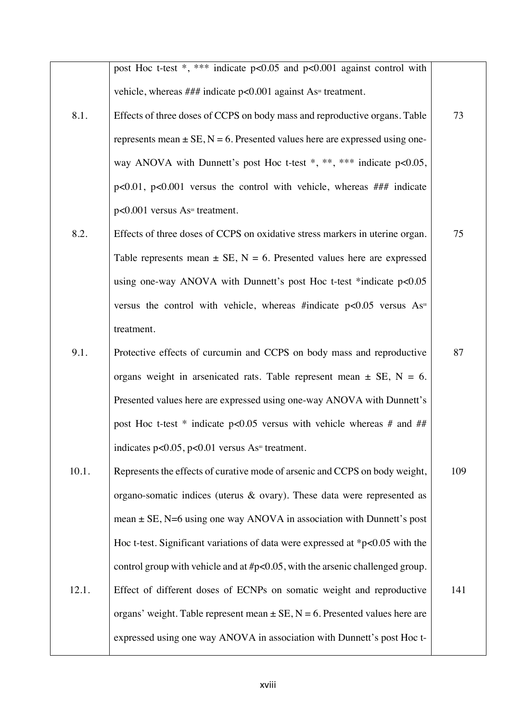post Hoc t-test \*, \*\*\* indicate p<0.05 and p<0.001 against control with vehicle, whereas  $\# \#$  indicate p<0.001 against As<sup> $\#$ </sup> treatment.

73

75

- 8.1. Effects of three doses of CCPS on body mass and reproductive organs. Table represents mean  $\pm$  SE, N = 6. Presented values here are expressed using oneway ANOVA with Dunnett's post Hoc t-test \*, \*\*, \*\*\* indicate p<0.05, p<0.01, p<0.001 versus the control with vehicle, whereas ### indicate  $p<0.001$  versus As<sup>III</sup> treatment.
- 8.2. Effects of three doses of CCPS on oxidative stress markers in uterine organ. Table represents mean  $\pm$  SE, N = 6. Presented values here are expressed using one-way ANOVA with Dunnett's post Hoc t-test \*indicate p<0.05 versus the control with vehicle, whereas #indicate  $p<0.05$  versus As<sup>III</sup> treatment.
- 9.1. Protective effects of curcumin and CCPS on body mass and reproductive organs weight in arsenicated rats. Table represent mean  $\pm$  SE, N = 6. Presented values here are expressed using one-way ANOVA with Dunnett's post Hoc t-test  $*$  indicate p<0.05 versus with vehicle whereas # and ## indicates  $p<0.05$ ,  $p<0.01$  versus As<sup>II</sup> treatment. 87
- 10.1. 12.1. Represents the effects of curative mode of arsenic and CCPS on body weight, organo-somatic indices (uterus  $\&$  ovary). These data were represented as mean  $\pm$  SE, N=6 using one way ANOVA in association with Dunnett's post Hoc t-test. Significant variations of data were expressed at \*p<0.05 with the control group with vehicle and at #p<0.05, with the arsenic challenged group. Effect of different doses of ECNPs on somatic weight and reproductive organs' weight. Table represent mean  $\pm$  SE, N = 6. Presented values here are expressed using one way ANOVA in association with Dunnett's post Hoc t-109 141